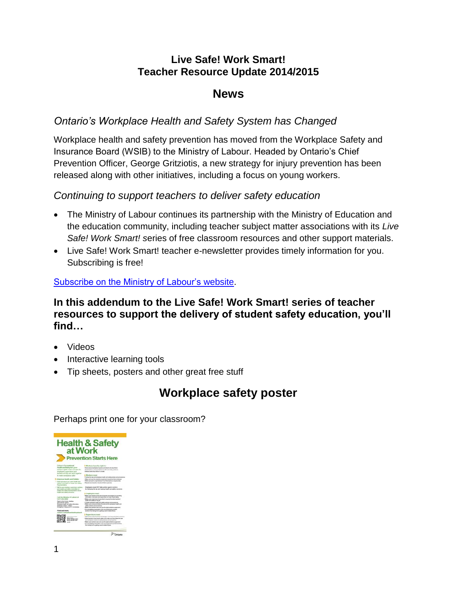## **[Live Safe! Work Smart!](http://www.livesafeworksmart.net/) Teacher Resource Update 2014/2015**

## **News**

## *Ontario's Workplace Health and Safety System has Changed*

Workplace health and safety prevention has moved from the Workplace Safety and Insurance Board (WSIB) to the Ministry of Labour. Headed by Ontario's Chief Prevention Officer, George Gritziotis, a new strategy for injury prevention has been released along with other initiatives, including a focus on young workers.

#### *Continuing to support teachers to deliver safety education*

- The Ministry of Labour continues its partnership with the Ministry of Education and the education community, including teacher subject matter associations with its *Live Safe! Work Smart! s*eries of free classroom resources and other support materials.
- Live Safe! Work Smart! teacher e-newsletter provides timely information for you. Subscribing is free!

[Subscribe on the Ministry of Labour's website.](http://www.labour.gov.on.ca/english/resources/subscribe/index.php)

**In this addendum to the Live Safe! Work Smart! series of teacher resources to support the delivery of student safety education, you'll find…**

- Videos
- Interactive learning tools
- Tip sheets, posters and other great free stuff

## **Workplace safety poster**

Perhaps print one for your classroom?

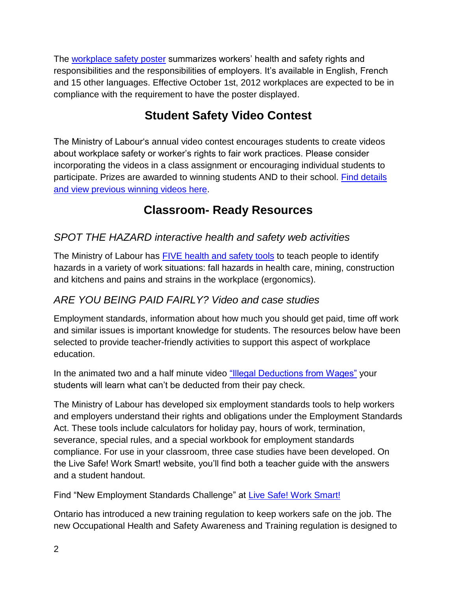The [workplace safety poster](http://www.labour.gov.on.ca/english/hs/pubs/poster_prevention.php) summarizes workers' health and safety rights and responsibilities and the responsibilities of employers. It's available in English, French and 15 other languages. Effective October 1st, 2012 workplaces are expected to be in compliance with the requirement to have the poster displayed.

# **Student Safety Video Contest**

The Ministry of Labour's annual video contest encourages students to create videos about workplace safety or worker's rights to fair work practices. Please consider incorporating the videos in a class assignment or encouraging individual students to participate. Prizes are awarded to winning students AND to their school. [Find details](http://www.ontario.ca/videocontest)  [and view previous winning videos here.](http://www.ontario.ca/videocontest)

## **Classroom- Ready Resources**

## *SPOT THE HAZARD interactive health and safety web activities*

The Ministry of Labour has [FIVE health and safety tools](http://www.labour.gov.on.ca/english/hs/tools/index.php) to teach people to identify hazards in a variety of work situations: fall hazards in health care, mining, construction and kitchens and pains and strains in the workplace (ergonomics).

## *ARE YOU BEING PAID FAIRLY? Video and case studies*

Employment standards, information about how much you should get paid, time off work and similar issues is important knowledge for students. The resources below have been selected to provide teacher-friendly activities to support this aspect of workplace education.

In the animated two and a half minute video ["Illegal Deductions from Wages"](http://www.labour.gov.on.ca/english/gallery/es/v_deductions.php) your students will learn what can't be deducted from their pay check.

The Ministry of Labour has developed six employment standards tools to help workers and employers understand their rights and obligations under the Employment Standards Act. These tools include calculators for holiday pay, hours of work, termination, severance, special rules, and a special workbook for employment standards compliance. For use in your classroom, three case studies have been developed. On the Live Safe! Work Smart! website, you'll find both a teacher guide with the answers and a student handout.

Find "New Employment Standards Challenge" at [Live Safe! Work Smart!](http://www.livesafeworksmart.net/english/pdf_mainpg/ES%20calculator%20teacher%20activities.pdf)

Ontario has introduced a new training regulation to keep workers safe on the job. The new Occupational Health and Safety Awareness and Training regulation is designed to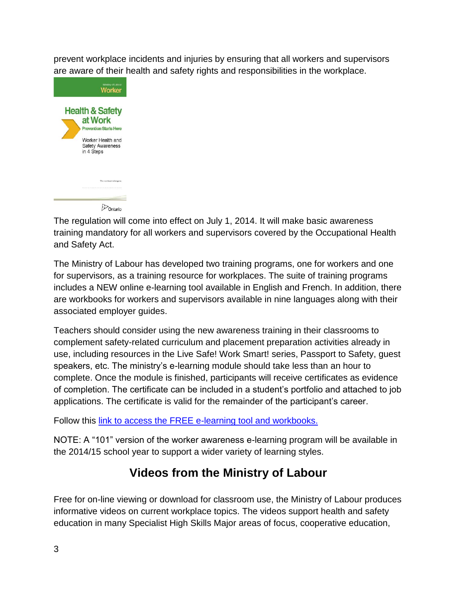prevent workplace incidents and injuries by ensuring that all workers and supervisors are aware of their health and safety rights and responsibilities in the workplace.



The regulation will come into effect on July 1, 2014. It will make basic awareness training mandatory for all workers and supervisors covered by the Occupational Health and Safety Act.

The Ministry of Labour has developed two training programs, one for workers and one for supervisors, as a training resource for workplaces. The suite of training programs includes a NEW online e-learning tool available in English and French. In addition, there are workbooks for workers and supervisors available in nine languages along with their associated employer guides.

Teachers should consider using the new awareness training in their classrooms to complement safety-related curriculum and placement preparation activities already in use, including resources in the Live Safe! Work Smart! series, Passport to Safety, guest speakers, etc. The ministry's e-learning module should take less than an hour to complete. Once the module is finished, participants will receive certificates as evidence of completion. The certificate can be included in a student's portfolio and attached to job applications. The certificate is valid for the remainder of the participant's career.

Follow this [link to access the FREE e-learning tool and workbooks.](http://www.labour.gov.on.ca/english/hs/training/index.php)

NOTE: A "101" version of the worker awareness e-learning program will be available in the 2014/15 school year to support a wider variety of learning styles.

# **Videos from the Ministry of Labour**

Free for on-line viewing or download for classroom use, the Ministry of Labour produces informative videos on current workplace topics. The videos support health and safety education in many Specialist High Skills Major areas of focus, cooperative education,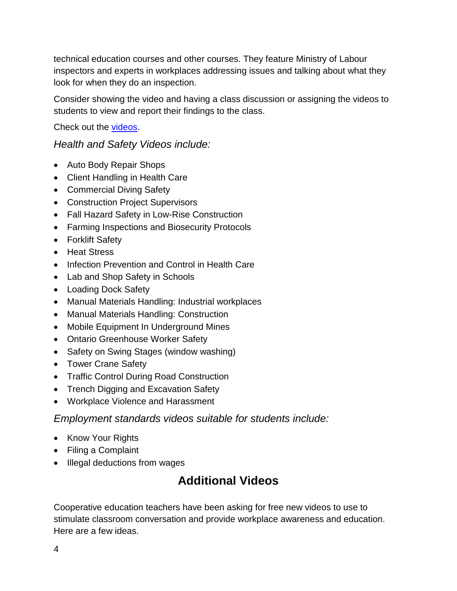technical education courses and other courses. They feature Ministry of Labour inspectors and experts in workplaces addressing issues and talking about what they look for when they do an inspection.

Consider showing the video and having a class discussion or assigning the videos to students to view and report their findings to the class.

Check out the [videos.](http://www.labour.gov.on.ca/english/gallery/index.php)

#### *Health and Safety Videos include:*

- Auto Body Repair Shops
- Client Handling in Health Care
- Commercial Diving Safety
- Construction Project Supervisors
- Fall Hazard Safety in Low-Rise Construction
- Farming Inspections and Biosecurity Protocols
- Forklift Safety
- Heat Stress
- Infection Prevention and Control in Health Care
- Lab and Shop Safety in Schools
- Loading Dock Safety
- Manual Materials Handling: Industrial workplaces
- Manual Materials Handling: Construction
- Mobile Equipment In Underground Mines
- Ontario Greenhouse Worker Safety
- Safety on Swing Stages (window washing)
- Tower Crane Safety
- Traffic Control During Road Construction
- Trench Digging and Excavation Safety
- Workplace Violence and Harassment

#### *Employment standards videos suitable for students include:*

- Know Your Rights
- Filing a Complaint
- Illegal deductions from wages

## **Additional Videos**

Cooperative education teachers have been asking for free new videos to use to stimulate classroom conversation and provide workplace awareness and education. Here are a few ideas.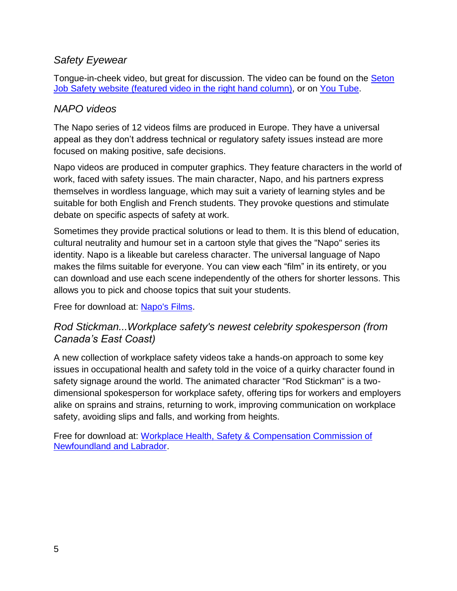### *Safety Eyewear*

Tongue-in-cheek video, but great for discussion. The video can be found on the [Seton](http://jobsafety.seton.ca/)  Job Safety website [\(featured video in the right hand column\),](http://jobsafety.seton.ca/) or on [You Tube.](http://bit.ly/1mzv0nD)

### *NAPO videos*

The Napo series of 12 videos films are produced in Europe. They have a universal appeal as they don't address technical or regulatory safety issues instead are more focused on making positive, safe decisions.

Napo videos are produced in computer graphics. They feature characters in the world of work, faced with safety issues. The main character, Napo, and his partners express themselves in wordless language, which may suit a variety of learning styles and be suitable for both English and French students. They provoke questions and stimulate debate on specific aspects of safety at work.

Sometimes they provide practical solutions or lead to them. It is this blend of education, cultural neutrality and humour set in a cartoon style that gives the "Napo" series its identity. Napo is a likeable but careless character. The universal language of Napo makes the films suitable for everyone. You can view each "film" in its entirety, or you can download and use each scene independently of the others for shorter lessons. This allows you to pick and choose topics that suit your students.

Free for download at: [Napo's Films.](http://www.napofilm.net/en/napos-films)

### *Rod Stickman...Workplace safety's newest celebrity spokesperson (from Canada's East Coast)*

A new collection of workplace safety videos take a hands-on approach to some key issues in occupational health and safety told in the voice of a quirky character found in safety signage around the world. The animated character "Rod Stickman" is a twodimensional spokesperson for workplace safety, offering tips for workers and employers alike on sprains and strains, returning to work, improving communication on workplace safety, avoiding slips and falls, and working from heights.

Free for download at: [Workplace Health, Safety & Compensation Commission of](http://www.whscc.nf.ca/rodstickman.whscc)  [Newfoundland and Labrador.](http://www.whscc.nf.ca/rodstickman.whscc)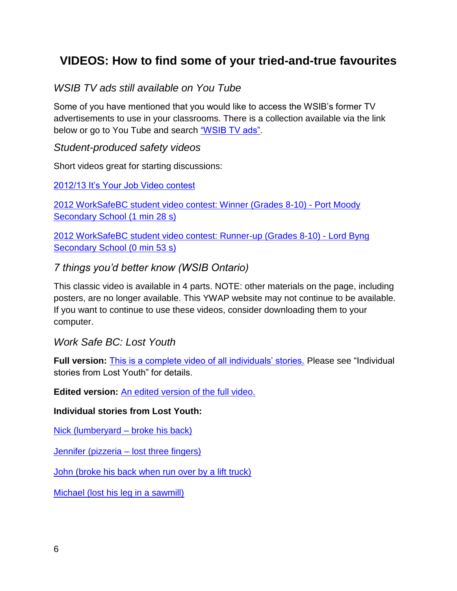## **VIDEOS: How to find some of your tried-and-true favourites**

### *WSIB TV ads still available on You Tube*

Some of you have mentioned that you would like to access the WSIB's former TV advertisements to use in your classrooms. There is a collection available via the link below or go to You Tube and search ["WSIB TV ads".](http://bit.ly/1tx2FzP)

#### *Student-produced safety videos*

Short videos great for starting discussions:

#### [2012/13 It's Your Job Video contest](http://www.youtube.com/yourjobvotretravail)

[2012 WorkSafeBC student video contest: Winner \(Grades 8-10\) -](http://www2.worksafebc.com/Publications/Multimedia/Videos.asp?ReportID=36839) Port Moody [Secondary School \(1 min 28 s\)](http://www2.worksafebc.com/Publications/Multimedia/Videos.asp?ReportID=36839)

[2012 WorkSafeBC student video contest: Runner-up \(Grades 8-10\) -](http://www2.worksafebc.com/Publications/Multimedia/Videos.asp?ReportID=36840) Lord Byng [Secondary School \(0 min 53 s\)](http://www2.worksafebc.com/Publications/Multimedia/Videos.asp?ReportID=36840)

#### *7 things you'd better know (WSIB Ontario)*

This classic video is available in 4 parts. NOTE: other materials on the page, including posters, are no longer available. This YWAP website may not continue to be available. If you want to continue to use these videos, consider downloading them to your computer.

*Work Safe BC: Lost Youth*

**Full version:** [This is a complete video of all individuals' stories.](http://www2.worksafebc.com/Publications/Multimedia/Videos.asp?ReportID=34291) Please see "Individual stories from Lost Youth" for details.

**Edited version:** [An edited version of the full video.](http://www2.worksafebc.com/Publications/Multimedia/Videos.asp?ReportID=34311)

#### **Individual stories from Lost Youth:**

[Nick \(lumberyard –](http://www2.worksafebc.com/Publications/Multimedia/Videos.asp?ReportID=34942) broke his back)

[Jennifer \(pizzeria –](http://www2.worksafebc.com/Publications/Multimedia/Videos.asp?ReportID=34941) lost three fingers)

[John \(broke his back when run over by a lift truck\)](http://www2.worksafebc.com/Publications/Multimedia/Videos.asp?ReportID=34939)

[Michael \(lost his leg in a sawmill\)](http://www2.worksafebc.com/Publications/Multimedia/Videos.asp?ReportID=34940)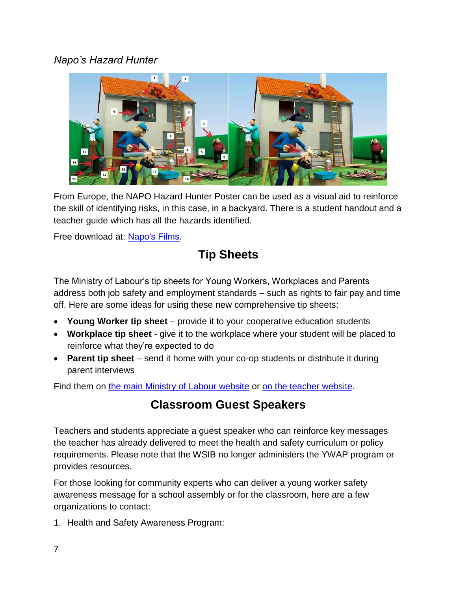### *Napo's Hazard Hunter*



From Europe, the NAPO Hazard Hunter Poster can be used as a visual aid to reinforce the skill of identifying risks, in this case, in a backyard. There is a student handout and a teacher guide which has all the hazards identified.

Free download at: [Napo's Films.](http://www.napofilm.net/en/napo-for-teachers/resources/)

# **Tip Sheets**

The Ministry of Labour's tip sheets for Young Workers, Workplaces and Parents address both job safety and employment standards – such as rights to fair pay and time off. Here are some ideas for using these new comprehensive tip sheets:

- **Young Worker tip sheet**  provide it to your cooperative education students
- **Workplace tip sheet**  give it to the workplace where your student will be placed to reinforce what they're expected to do
- **Parent tip sheet** send it home with your co-op students or distribute it during parent interviews

Find them on [the main Ministry of Labour website](http://www.ontario.ca/youngworkers) or [on the teacher website.](http://www.livesafeworksmart.net/)

## **Classroom Guest Speakers**

Teachers and students appreciate a guest speaker who can reinforce key messages the teacher has already delivered to meet the health and safety curriculum or policy requirements. Please note that the WSIB no longer administers the YWAP program or provides resources.

For those looking for community experts who can deliver a young worker safety awareness message for a school assembly or for the classroom, here are a few organizations to contact:

1. Health and Safety Awareness Program: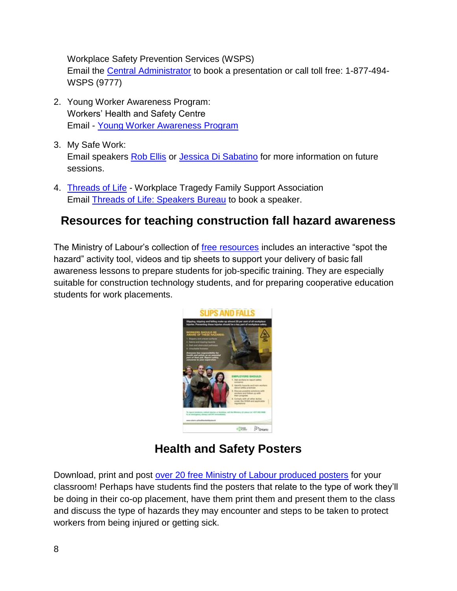Workplace Safety Prevention Services (WSPS) Email the [Central Administrator](mailto:hsapregistrations@wsps.ca) to book a presentation or call toll free: 1-877-494- WSPS (9777)

- 2. Young Worker Awareness Program: Workers' Health and Safety Centre Email - [Young Worker Awareness Program](mailto:ywap@whsc.on.ca)
- 3. My Safe Work: Email speakers [Rob Ellis](mailto:rob@mysafework.com) or [Jessica Di Sabatino](mailto:Jess@mysafework.com) for more information on future sessions.
- 4. [Threads of Life](http://threadsoflife.ca/speakers-bureau/book-a-speaker/) Workplace Tragedy Family Support Association Email [Threads of Life: Speakers](mailto:speakersbureau@threadsoflife.ca) Bureau to book a speaker.

## **Resources for teaching construction fall hazard awareness**

The Ministry of Labour's collection of [free resources](http://www.labour.gov.on.ca/english/hs/topics/falls.php) includes an interactive "spot the hazard" activity tool, videos and tip sheets to support your delivery of basic fall awareness lessons to prepare students for job-specific training. They are especially suitable for construction technology students, and for preparing cooperative education students for work placements.



# **Health and Safety Posters**

Download, print and post [over 20 free Ministry of Labour produced posters](http://www.labour.gov.on.ca/english/hs/pubs/publications.php#posters) for your classroom! Perhaps have students find the posters that relate to the type of work they'll be doing in their co-op placement, have them print them and present them to the class and discuss the type of hazards they may encounter and steps to be taken to protect workers from being injured or getting sick.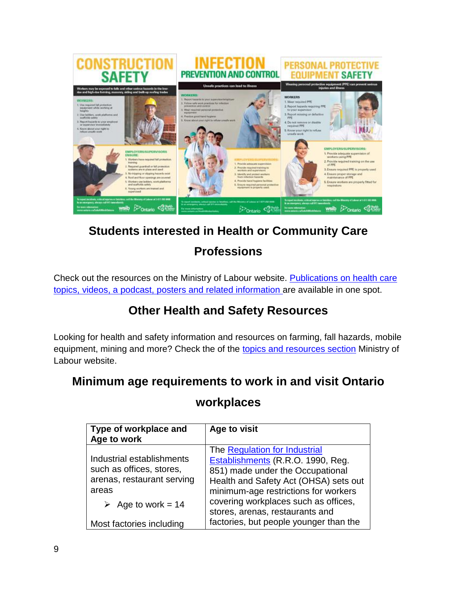

# **Students interested in Health or Community Care**

# **Professions**

Check out the resources on the Ministry of Labour website. Publications on health care [topics, videos, a podcast, posters and related information a](http://www.labour.gov.on.ca/english/hs/topics/healthcare.php)re available in one spot.

# **Other Health and Safety Resources**

Looking for health and safety information and resources on farming, fall hazards, mobile equipment, mining and more? Check the of the [topics and resources section](http://www.labour.gov.on.ca/english/hs/pubs/index.php) Ministry of Labour website.

## **Minimum age requirements to work in and visit Ontario**

## **workplaces**

| Type of workplace and<br>Age to work                                                                                              | Age to visit                                                                                                                                                                                                                                                       |
|-----------------------------------------------------------------------------------------------------------------------------------|--------------------------------------------------------------------------------------------------------------------------------------------------------------------------------------------------------------------------------------------------------------------|
| Industrial establishments<br>such as offices, stores,<br>arenas, restaurant serving<br>areas<br>$\triangleright$ Age to work = 14 | The Regulation for Industrial<br>Establishments (R.R.O. 1990, Reg.<br>851) made under the Occupational<br>Health and Safety Act (OHSA) sets out<br>minimum-age restrictions for workers<br>covering workplaces such as offices,<br>stores, arenas, restaurants and |
| Most factories including                                                                                                          | factories, but people younger than the                                                                                                                                                                                                                             |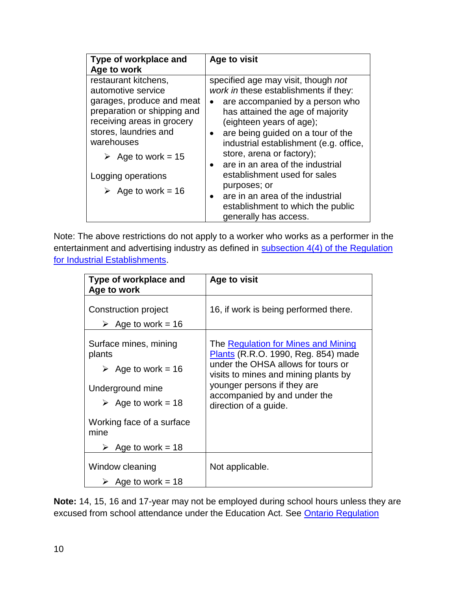| Type of workplace and                                                                                                                                                                                            | Age to visit                                                                                                                                                                                                                                                                                |
|------------------------------------------------------------------------------------------------------------------------------------------------------------------------------------------------------------------|---------------------------------------------------------------------------------------------------------------------------------------------------------------------------------------------------------------------------------------------------------------------------------------------|
| Age to work                                                                                                                                                                                                      |                                                                                                                                                                                                                                                                                             |
| restaurant kitchens,<br>automotive service<br>garages, produce and meat<br>preparation or shipping and<br>receiving areas in grocery<br>stores, laundries and<br>warehouses<br>$\triangleright$ Age to work = 15 | specified age may visit, though not<br>work in these establishments if they:<br>are accompanied by a person who<br>has attained the age of majority<br>(eighteen years of age);<br>are being guided on a tour of the<br>industrial establishment (e.g. office,<br>store, arena or factory); |
| Logging operations<br>$\geq$ Age to work = 16                                                                                                                                                                    | are in an area of the industrial<br>establishment used for sales<br>purposes; or<br>are in an area of the industrial<br>establishment to which the public<br>generally has access.                                                                                                          |

Note: The above restrictions do not apply to a worker who works as a performer in the entertainment and advertising industry as defined in **subsection 4(4) of the Regulation** [for Industrial Establishments.](http://www.e-laws.gov.on.ca/html/regs/english/elaws_regs_900851_e.htm#BK3)

| Type of workplace and<br>Age to work                                                                                                                                      | Age to visit                                                                                                                                                                                                                                     |
|---------------------------------------------------------------------------------------------------------------------------------------------------------------------------|--------------------------------------------------------------------------------------------------------------------------------------------------------------------------------------------------------------------------------------------------|
| Construction project<br>$\geq$ Age to work = 16                                                                                                                           | 16, if work is being performed there.                                                                                                                                                                                                            |
| Surface mines, mining<br>plants<br>$\geq$ Age to work = 16<br>Underground mine<br>$\geq$ Age to work = 18<br>Working face of a surface<br>mine<br>$\geq$ Age to work = 18 | The Regulation for Mines and Mining<br>Plants (R.R.O. 1990, Reg. 854) made<br>under the OHSA allows for tours or<br>visits to mines and mining plants by<br>younger persons if they are<br>accompanied by and under the<br>direction of a guide. |
| Window cleaning<br>Age to work $=$ 18                                                                                                                                     | Not applicable.                                                                                                                                                                                                                                  |

**Note:** 14, 15, 16 and 17-year may not be employed during school hours unless they are excused from school attendance under the Education Act. See [Ontario Regulation](http://www.e-laws.gov.on.ca/html/regs/english/elaws_regs_100374_e.htm)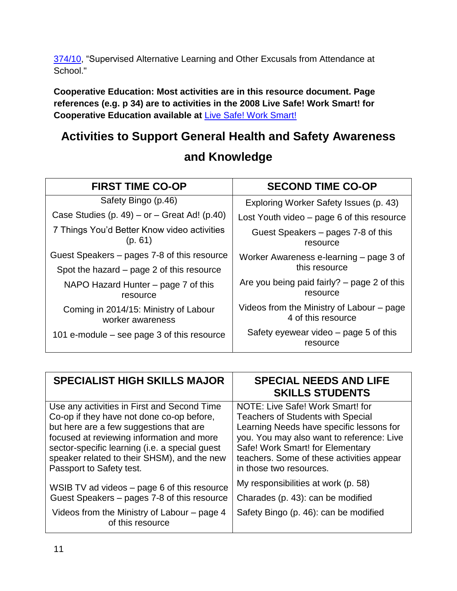[374/10,](http://www.e-laws.gov.on.ca/html/regs/english/elaws_regs_100374_e.htm) "Supervised Alternative Learning and Other Excusals from Attendance at School."

**Cooperative Education: Most activities are in this resource document. Page references (e.g. p 34) are to activities in the 2008 Live Safe! Work Smart! for Cooperative Education available at** [Live Safe! Work Smart!](http://www.livesafeworksmart.net/)

# **Activities to Support General Health and Safety Awareness**

| <b>FIRST TIME CO-OP</b>                                   | <b>SECOND TIME CO-OP</b>                                        |
|-----------------------------------------------------------|-----------------------------------------------------------------|
| Safety Bingo (p.46)                                       | Exploring Worker Safety Issues (p. 43)                          |
| Case Studies (p. 49) – or – Great Ad! (p.40)              | Lost Youth video – page 6 of this resource                      |
| 7 Things You'd Better Know video activities<br>(p. 61)    | Guest Speakers – pages 7-8 of this<br>resource                  |
| Guest Speakers – pages 7-8 of this resource               | Worker Awareness e-learning – page 3 of                         |
| Spot the hazard – page 2 of this resource                 | this resource                                                   |
| NAPO Hazard Hunter – page 7 of this<br>resource           | Are you being paid fairly? $-$ page 2 of this<br>resource       |
| Coming in 2014/15: Ministry of Labour<br>worker awareness | Videos from the Ministry of Labour - page<br>4 of this resource |
| 101 e-module – see page 3 of this resource                | Safety eyewear video – page 5 of this<br>resource               |

## **and Knowledge**

| <b>SPECIALIST HIGH SKILLS MAJOR</b>                             | <b>SPECIAL NEEDS AND LIFE</b><br><b>SKILLS STUDENTS</b> |
|-----------------------------------------------------------------|---------------------------------------------------------|
| Use any activities in First and Second Time                     | NOTE: Live Safe! Work Smart! for                        |
| Co-op if they have not done co-op before,                       | <b>Teachers of Students with Special</b>                |
| but here are a few suggestions that are                         | Learning Needs have specific lessons for                |
| focused at reviewing information and more                       | you. You may also want to reference: Live               |
| sector-specific learning (i.e. a special guest                  | Safe! Work Smart! for Elementary                        |
| speaker related to their SHSM), and the new                     | teachers. Some of these activities appear               |
| Passport to Safety test.                                        | in those two resources.                                 |
| WSIB TV ad videos – page 6 of this resource                     | My responsibilities at work (p. 58)                     |
| Guest Speakers - pages 7-8 of this resource                     | Charades (p. 43): can be modified                       |
| Videos from the Ministry of Labour – page 4<br>of this resource | Safety Bingo (p. 46): can be modified                   |